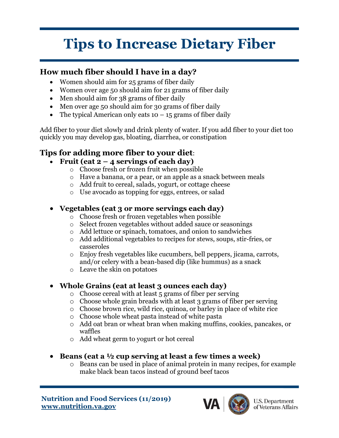# **Tips to Increase Dietary Fiber**

### **How much fiber should I have in a day?**

- Women should aim for 25 grams of fiber daily
- Women over age 50 should aim for 21 grams of fiber daily
- Men should aim for 38 grams of fiber daily
- Men over age 50 should aim for 30 grams of fiber daily
- The typical American only eats  $10 15$  grams of fiber daily

Add fiber to your diet slowly and drink plenty of water. If you add fiber to your diet too quickly you may develop gas, bloating, diarrhea, or constipation

## **Tips for adding more fiber to your diet**:

- **Fruit (eat 2 4 servings of each day)**
	- o Choose fresh or frozen fruit when possible
	- o Have a banana, or a pear, or an apple as a snack between meals
	- o Add fruit to cereal, salads, yogurt, or cottage cheese
	- o Use avocado as topping for eggs, entrees, or salad

#### • **Vegetables (eat 3 or more servings each day)**

- o Choose fresh or frozen vegetables when possible
- o Select frozen vegetables without added sauce or seasonings
- o Add lettuce or spinach, tomatoes, and onion to sandwiches
- o Add additional vegetables to recipes for stews, soups, stir-fries, or casseroles
- o Enjoy fresh vegetables like cucumbers, bell peppers, jicama, carrots, and/or celery with a bean-based dip (like hummus) as a snack
- o Leave the skin on potatoes

#### • **Whole Grains (eat at least 3 ounces each day)**

- o Choose cereal with at least 5 grams of fiber per serving
- o Choose whole grain breads with at least 3 grams of fiber per serving
- o Choose brown rice, wild rice, quinoa, or barley in place of white rice
- o Choose whole wheat pasta instead of white pasta
- o Add oat bran or wheat bran when making muffins, cookies, pancakes, or waffles
- o Add wheat germ to yogurt or hot cereal
- **Beans (eat a ½ cup serving at least a few times a week)**
	- o Beans can be used in place of animal protein in many recipes, for example make black bean tacos instead of ground beef tacos